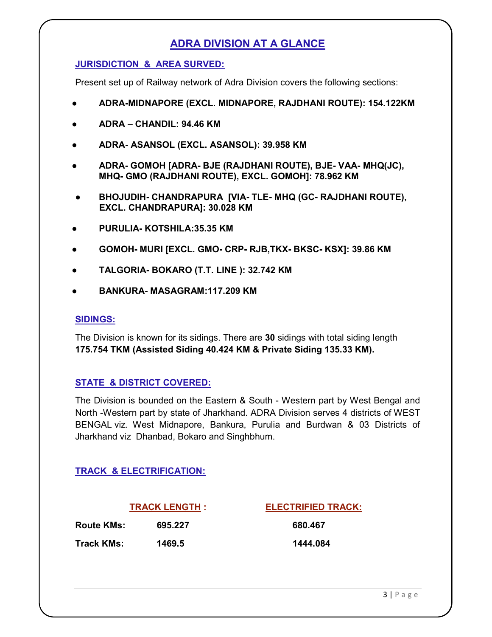# ADRA DIVISION AT A GLANCE

#### JURISDICTION & AREA SURVED:

Present set up of Railway network of Adra Division covers the following sections:

- ADRA-MIDNAPORE (EXCL. MIDNAPORE, RAJDHANI ROUTE): 154.122KM
- ADRA CHANDIL: 94.46 KM
- ADRA- ASANSOL (EXCL. ASANSOL): 39.958 KM
- ADRA- GOMOH [ADRA- BJE (RAJDHANI ROUTE), BJE- VAA- MHQ(JC), MHQ- GMO (RAJDHANI ROUTE), EXCL. GOMOH]: 78.962 KM
- BHOJUDIH- CHANDRAPURA [VIA- TLE- MHQ (GC- RAJDHANI ROUTE), EXCL. CHANDRAPURA]: 30.028 KM
- PURULIA- KOTSHILA: 35.35 KM
- GOMOH- MURI [EXCL. GMO- CRP- RJB,TKX- BKSC- KSX]: 39.86 KM
- TALGORIA- BOKARO (T.T. LINE ): 32.742 KM
- BANKURA- MASAGRAM:117.209 KM

#### SIDINGS:

The Division is known for its sidings. There are 30 sidings with total siding length 175.754 TKM (Assisted Siding 40.424 KM & Private Siding 135.33 KM).

#### STATE & DISTRICT COVERED:

The Division is bounded on the Eastern & South - Western part by West Bengal and North -Western part by state of Jharkhand. ADRA Division serves 4 districts of WEST BENGAL viz. West Midnapore, Bankura, Purulia and Burdwan & 03 Districts of Jharkhand viz Dhanbad, Bokaro and Singhbhum.

## TRACK & ELECTRIFICATION:

Route KMs: 695.227 680.467 Track KMs: 1469.5 1444.084

TRACK LENGTH : ELECTRIFIED TRACK: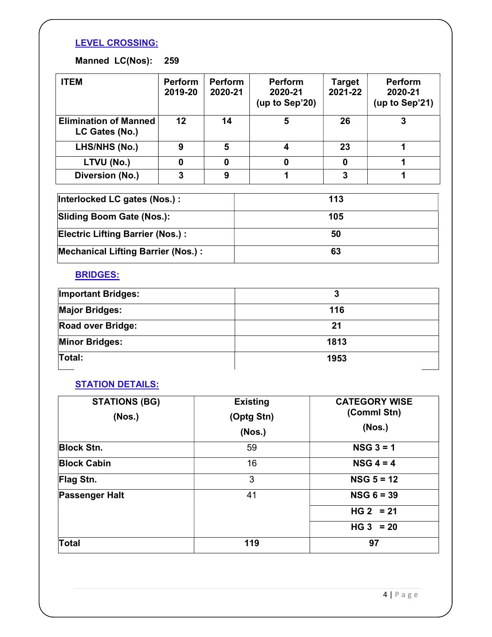## LEVEL CROSSING:

# Manned LC(Nos): 259

| <b>ITEM</b>                                    | <b>Perform</b><br>2019-20 | <b>Perform</b><br>2020-21 | <b>Perform</b><br>2020-21<br>(up to Sep'20) | <b>Target</b><br>2021-22 | <b>Perform</b><br>2020-21<br>(up to Sep'21) |  |
|------------------------------------------------|---------------------------|---------------------------|---------------------------------------------|--------------------------|---------------------------------------------|--|
| <b>Elimination of Manned</b><br>LC Gates (No.) | 12                        | 14                        | 5                                           | 26                       | 3                                           |  |
| LHS/NHS (No.)                                  | 9                         | 5                         | $\overline{\mathbf{4}}$                     | 23                       | 1                                           |  |
| LTVU (No.)                                     | 0                         | 0                         | 0                                           | 0                        | 1                                           |  |
| Diversion (No.)                                | 3                         | 9                         | 1                                           | 3                        | 1                                           |  |
| Interlocked LC gates (Nos.) :                  |                           |                           | 113                                         |                          |                                             |  |
| <b>Sliding Boom Gate (Nos.):</b>               |                           |                           | 105                                         |                          |                                             |  |
| Electric Lifting Barrier (Nos.):               |                           |                           | 50                                          |                          |                                             |  |
| <b>Mechanical Lifting Barrier (Nos.):</b>      |                           |                           | 63                                          |                          |                                             |  |

#### BRIDGES:

| <b>Important Bridges:</b> | 3    |
|---------------------------|------|
| <b>Major Bridges:</b>     | 116  |
| <b>Road over Bridge:</b>  | 21   |
| <b>Minor Bridges:</b>     | 1813 |
| Total:                    | 1953 |

## **STATION DETAILS:**

| <b>STATIONS (BG)</b><br>(Nos.) | <b>Existing</b><br>(Optg Stn)<br>(Nos.) | <b>CATEGORY WISE</b><br>(Comml Stn)<br>(Nos.) |
|--------------------------------|-----------------------------------------|-----------------------------------------------|
| <b>Block Stn.</b>              | 59                                      | $NSG$ 3 = 1                                   |
| <b>Block Cabin</b>             | 16                                      | $NSG 4 = 4$                                   |
| Flag Stn.                      | 3                                       | $NSG 5 = 12$                                  |
| <b>Passenger Halt</b>          | 41                                      | $NSG 6 = 39$                                  |
|                                |                                         | $HG 2 = 21$                                   |
|                                |                                         | $HG 3 = 20$                                   |
| <b>Total</b>                   | 119                                     | 97                                            |

4 | P a g e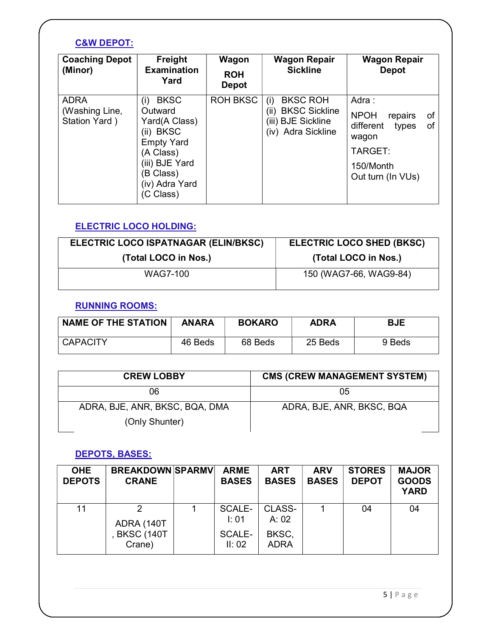## C&W DEPOT:

| <b>Coaching Depot</b><br>(Minor)               | Freight<br><b>Examination</b><br>Yard                                                                                                                      | Wagon<br><b>ROH</b><br><b>Depot</b> | <b>Wagon Repair</b><br><b>Sickline</b>                                                             | <b>Wagon Repair</b><br><b>Depot</b>                                                                                     |
|------------------------------------------------|------------------------------------------------------------------------------------------------------------------------------------------------------------|-------------------------------------|----------------------------------------------------------------------------------------------------|-------------------------------------------------------------------------------------------------------------------------|
| <b>ADRA</b><br>(Washing Line,<br>Station Yard) | <b>BKSC</b><br>(i)<br>Outward<br>Yard(A Class)<br>(ii) BKSC<br><b>Empty Yard</b><br>(A Class)<br>(iii) BJE Yard<br>(B Class)<br>(iv) Adra Yard<br>C Class) | <b>ROH BKSC</b>                     | <b>BKSC ROH</b><br>(i)<br><b>BKSC Sickline</b><br>(II)<br>(iii) BJE Sickline<br>(iv) Adra Sickline | Adra:<br><b>NPOH</b><br>repairs<br>of<br>different<br>оf<br>types<br>wagon<br>TARGET:<br>150/Month<br>Out turn (In VUs) |

## ELECTRIC LOCO HOLDING:

| ELECTRIC LOCO ISPATNAGAR (ELIN/BKSC) | <b>ELECTRIC LOCO SHED (BKSC)</b> |  |
|--------------------------------------|----------------------------------|--|
| (Total LOCO in Nos.)                 | (Total LOCO in Nos.)             |  |
| WAG7-100                             | 150 (WAG7-66, WAG9-84)           |  |

#### RUNNING ROOMS:

| <b>NAME OF THE STATION</b> | <b>ANARA</b> | <b>BOKARO</b> | <b>ADRA</b> | <b>BJE</b> |
|----------------------------|--------------|---------------|-------------|------------|
| <b>CAPACITY</b>            | 46 Beds      | 68 Beds       | 25 Beds     | 9 Beds     |

| <b>CREW LOBBY</b>              | <b>CMS (CREW MANAGEMENT SYSTEM)</b> |  |  |
|--------------------------------|-------------------------------------|--|--|
| 06                             | 05                                  |  |  |
| ADRA, BJE, ANR, BKSC, BQA, DMA | ADRA, BJE, ANR, BKSC, BQA           |  |  |
| (Only Shunter)                 |                                     |  |  |

## DEPOTS, BASES:

| <b>OHE</b><br><b>DEPOTS</b> | <b>BREAKDOWN SPARMV</b><br><b>CRANE</b> | <b>ARME</b><br><b>BASES</b> | <b>ART</b><br><b>BASES</b> | <b>ARV</b><br><b>BASES</b> | <b>STORES</b><br><b>DEPOT</b> | <b>MAJOR</b><br><b>GOODS</b><br><b>YARD</b> |
|-----------------------------|-----------------------------------------|-----------------------------|----------------------------|----------------------------|-------------------------------|---------------------------------------------|
| 11                          | ADRA (140T                              | SCALE-<br>$\mathsf{I}:01$   | CLASS-<br>A: 02            |                            | 04                            | 04                                          |
|                             | <b>BKSC (140T</b><br>Crane)             | <b>SCALE-</b><br>II: 02     | BKSC,<br><b>ADRA</b>       |                            |                               |                                             |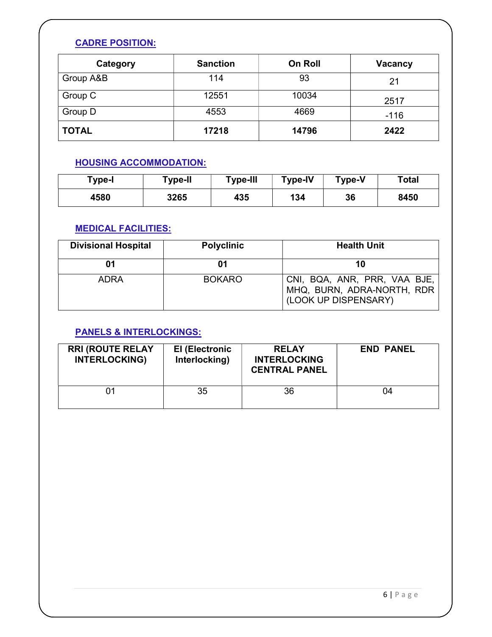## CADRE POSITION:

| Category     | <b>Sanction</b> | On Roll | <b>Vacancy</b> |
|--------------|-----------------|---------|----------------|
| Group A&B    | 114             | 93      | 21             |
| Group C      | 12551           | 10034   | 2517           |
| Group D      | 4553            | 4669    | $-116$         |
| <b>TOTAL</b> | 17218           | 14796   | 2422           |

## HOUSING ACCOMMODATION:

| Type-I | Type-II | <b>Type-III</b> | Type-IV | <b>Type-V</b> | Total |
|--------|---------|-----------------|---------|---------------|-------|
| 4580   | 3265    | 435             | 134     | 36            | 8450  |

## MEDICAL FACILITIES:

| <b>Divisional Hospital</b> | <b>Polyclinic</b> | <b>Health Unit</b>                                                                 |
|----------------------------|-------------------|------------------------------------------------------------------------------------|
| 01                         | 01                |                                                                                    |
| <b>ADRA</b>                | <b>BOKARO</b>     | CNI, BQA, ANR, PRR, VAA BJE,<br>MHQ, BURN, ADRA-NORTH, RDR<br>(LOOK UP DISPENSARY) |

## PANELS & INTERLOCKINGS:

| <b>RRI (ROUTE RELAY</b><br><b>INTERLOCKING)</b> | <b>El (Electronic</b><br>Interlocking) | <b>RELAY</b><br><b>INTERLOCKING</b><br><b>CENTRAL PANEL</b> | <b>END PANEL</b> |
|-------------------------------------------------|----------------------------------------|-------------------------------------------------------------|------------------|
| 01                                              | 35                                     | 36                                                          | 04               |